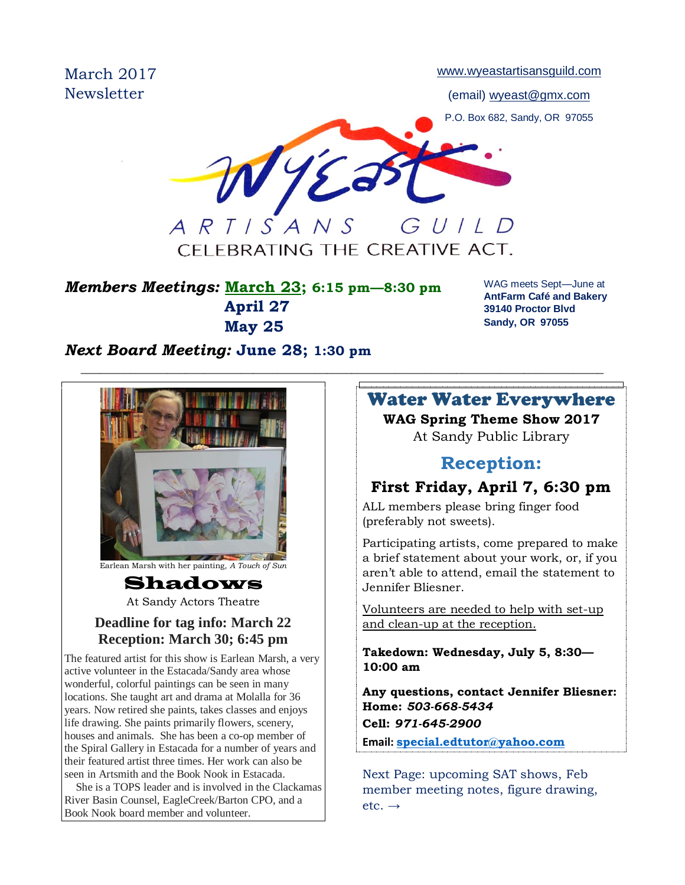March 2017 **Newsletter** 

[www.wyeastartisansguild.com](http://www.wyeastartisansguild.com/)

(email) wyeast@gmx.com

P.O. Box 682, Sandy, OR 97055

WYE GUILD ARTISANS

CFI FBRATING THE CREATIVE ACT.

 $\_$  , and the set of the set of the set of the set of the set of the set of the set of the set of the set of the set of the set of the set of the set of the set of the set of the set of the set of the set of the set of th

## *Members Meetings:* **March 23; 6:15 pm—8:30 pm April 27 May 25**

WAG meets Sept—June at **AntFarm Café and Bakery 39140 Proctor Blvd Sandy, OR 97055**

## *Next Board Meeting:* **June 28; 1:30 pm**



Earlean Marsh with her painting, *A Touch of Sun*

## Shadows

At Sandy Actors Theatre

#### **Deadline for tag info: March 22 Reception: March 30; 6:45 pm**

The featured artist for this show is Earlean Marsh, a very active volunteer in the Estacada/Sandy area whose wonderful, colorful paintings can be seen in many locations. She taught art and drama at Molalla for 36 years. Now retired she paints, takes classes and enjoys life drawing. She paints primarily flowers, scenery, houses and animals. She has been a co-op member of the Spiral Gallery in Estacada for a number of years and their featured artist three times. Her work can also be seen in Artsmith and the Book Nook in Estacada.

 She is a TOPS leader and is involved in the Clackamas River Basin Counsel, EagleCreek/Barton CPO, and a Book Nook board member and volunteer.

## Water Water Everywhere **WAG Spring Theme Show 2017** At Sandy Public Library

## **Reception:**

# **First Friday, April 7, 6:30 pm**

ALL members please bring finger food (preferably not sweets).

Participating artists, come prepared to make a brief statement about your work, or, if you aren't able to attend, email the statement to Jennifer Bliesner.

Volunteers are needed to help with set-up and clean-up at the reception.

**Takedown: Wednesday, July 5, 8:30— 10:00 am**

**Any questions, contact Jennifer Bliesner: Home:** *503-668-5434* **Cell:** *971-645-2900*

**Email: [special.edtutor@yahoo.com](mailto:special.edtutor@yahoo.com)**

Next Page: upcoming SAT shows, Feb member meeting notes, figure drawing,  $etc. \rightarrow$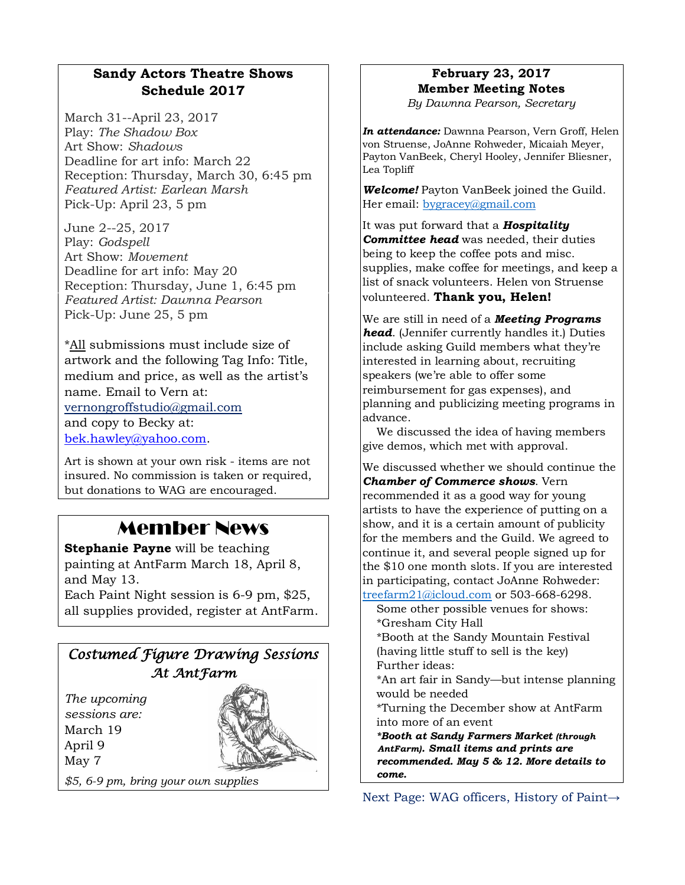### **Sandy Actors Theatre Shows Schedule 2017**

March 31--April 23, 2017 Play: *The Shadow Box* Art Show: *Shadows* Deadline for art info: March 22 Reception: Thursday, March 30, 6:45 pm *Featured Artist: Earlean Marsh* Pick-Up: April 23, 5 pm

June 2--25, 2017 Play: *Godspell* Art Show: *Movement* Deadline for art info: May 20 Reception: Thursday, June 1, 6:45 pm *Featured Artist: Dawnna Pearson* Pick-Up: June 25, 5 pm

\*All submissions must include size of artwork and the following Tag Info: Title, medium and price, as well as the artist's name. Email to Vern at: [vernongroffstudio@gmail.com](mailto:Vernongroffstudio@gmail.com) and copy to Becky at: [bek.hawley@yahoo.com.](mailto:bek.hawley@yahoo.com)

Art is shown at your own risk - items are not insured. No commission is taken or required, but donations to WAG are encouraged.

# Member News

**Stephanie Payne** will be teaching painting at AntFarm March 18, April 8, and May 13.

Each Paint Night session is 6-9 pm, \$25, all supplies provided, register at AntFarm.



# May 7

*\$5, 6-9 pm, bring your own supplies*

# **February 23, 2017 Member Meeting Notes**

*By Dawnna Pearson, Secretary*

*In attendance:* Dawnna Pearson, Vern Groff, Helen von Struense, JoAnne Rohweder, Micaiah Meyer, Payton VanBeek, Cheryl Hooley, Jennifer Bliesner, Lea Topliff

*Welcome!* Payton VanBeek joined the Guild. Her email: [bygracey@gmail.com](mailto:bygracey@gmail.com)

It was put forward that a *Hospitality Committee head* was needed, their duties being to keep the coffee pots and misc. supplies, make coffee for meetings, and keep a list of snack volunteers. Helen von Struense volunteered. **Thank you, Helen!**

We are still in need of a *Meeting Programs head*. (Jennifer currently handles it.) Duties include asking Guild members what they're interested in learning about, recruiting speakers (we're able to offer some reimbursement for gas expenses), and planning and publicizing meeting programs in advance.

 We discussed the idea of having members give demos, which met with approval.

We discussed whether we should continue the *Chamber of Commerce shows*. Vern recommended it as a good way for young artists to have the experience of putting on a show, and it is a certain amount of publicity for the members and the Guild. We agreed to continue it, and several people signed up for the \$10 one month slots. If you are interested in participating, contact JoAnne Rohweder: [treefarm21@icloud.com](mailto:treefarm21@icloud.com) or 503-668-6298.

 Some other possible venues for shows: \*Gresham City Hall

 \*Booth at the Sandy Mountain Festival (having little stuff to sell is the key) Further ideas:

 \*An art fair in Sandy—but intense planning would be needed

 \*Turning the December show at AntFarm into more of an event

*\*Booth at Sandy Farmers Market (through AntFarm). Small items and prints are recommended. May 5 & 12. More details to come.*

Next Page: WAG officers, History of Paint→